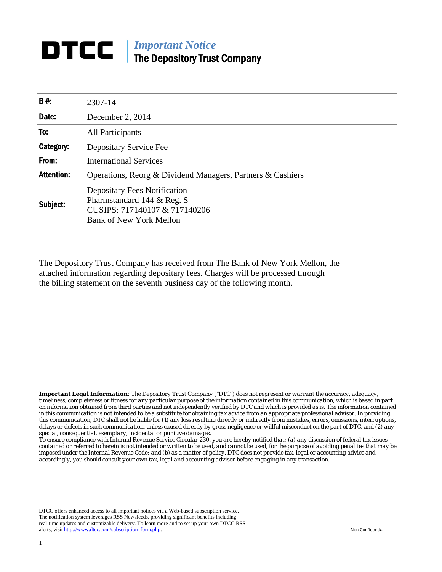## *Important Notice*  The Depository Trust Company

| B#:               | 2307-14                                                                                                                              |  |
|-------------------|--------------------------------------------------------------------------------------------------------------------------------------|--|
| Date:             | December 2, 2014                                                                                                                     |  |
| To:               | All Participants                                                                                                                     |  |
| Category:         | Depositary Service Fee                                                                                                               |  |
| From:             | <b>International Services</b>                                                                                                        |  |
| <b>Attention:</b> | Operations, Reorg & Dividend Managers, Partners & Cashiers                                                                           |  |
| Subject:          | <b>Depositary Fees Notification</b><br>Pharmstandard 144 & Reg. S<br>CUSIPS: 717140107 & 717140206<br><b>Bank of New York Mellon</b> |  |

The Depository Trust Company has received from The Bank of New York Mellon, the attached information regarding depositary fees. Charges will be processed through the billing statement on the seventh business day of the following month.

*Important Legal Information: The Depository Trust Company ("DTC") does not represent or warrant the accuracy, adequacy, timeliness, completeness or fitness for any particular purpose of the information contained in this communication, which is based in part on information obtained from third parties and not independently verified by DTC and which is provided as is. The information contained in this communication is not intended to be a substitute for obtaining tax advice from an appropriate professional advisor. In providing this communication, DTC shall not be liable for (1) any loss resulting directly or indirectly from mistakes, errors, omissions, interruptions, delays or defects in such communication, unless caused directly by gross negligence or willful misconduct on the part of DTC, and (2) any special, consequential, exemplary, incidental or punitive damages.* 

*To ensure compliance with Internal Revenue Service Circular 230, you are hereby notified that: (a) any discussion of federal tax issues contained or referred to herein is not intended or written to be used, and cannot be used, for the purpose of avoiding penalties that may be imposed under the Internal Revenue Code; and (b) as a matter of policy, DTC does not provide tax, legal or accounting advice and accordingly, you should consult your own tax, legal and accounting advisor before engaging in any transaction.*

DTCC offers enhanced access to all important notices via a Web-based subscription service. The notification system leverages RSS Newsfeeds, providing significant benefits including real-time updates and customizable delivery. To learn more and to set up your own DTCC RSS alerts, visit http://www.dtcc.com/subscription\_form.php. Non-Confidential

.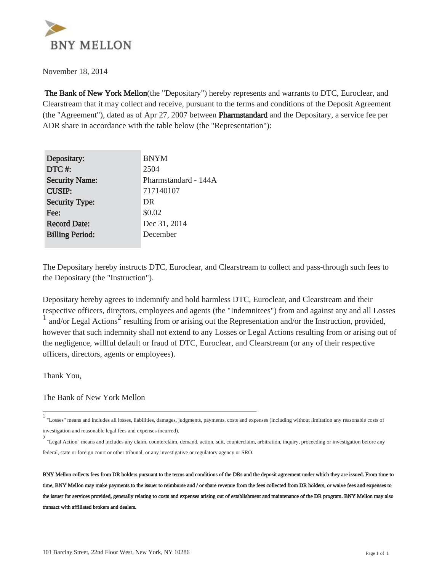

November 18, 2014

 The Bank of New York Mellon(the "Depositary") hereby represents and warrants to DTC, Euroclear, and Clearstream that it may collect and receive, pursuant to the terms and conditions of the Deposit Agreement (the "Agreement"), dated as of Apr 27, 2007 between Pharmstandard and the Depositary, a service fee per ADR share in accordance with the table below (the "Representation"):

| Depositary:            | <b>BNYM</b>          |
|------------------------|----------------------|
| DTC#:                  | 2504                 |
| <b>Security Name:</b>  | Pharmstandard - 144A |
| <b>CUSIP:</b>          | 717140107            |
| <b>Security Type:</b>  | DR                   |
| Fee:                   | \$0.02               |
| <b>Record Date:</b>    | Dec 31, 2014         |
| <b>Billing Period:</b> | December             |
|                        |                      |

The Depositary hereby instructs DTC, Euroclear, and Clearstream to collect and pass-through such fees to the Depositary (the "Instruction").

Depositary hereby agrees to indemnify and hold harmless DTC, Euroclear, and Clearstream and their respective officers, directors, employees and agents (the "Indemnitees") from and against any and all Losses  $\frac{1}{1}$  and/or Legal Actions<sup>2</sup> resulting from or arising out the Representation and/or the Instruction, provided, however that such indemnity shall not extend to any Losses or Legal Actions resulting from or arising out of the negligence, willful default or fraud of DTC, Euroclear, and Clearstream (or any of their respective officers, directors, agents or employees).

Thank You,

The Bank of New York Mellon

<sup>1</sup> "Losses" means and includes all losses, liabilities, damages, judgments, payments, costs and expenses (including without limitation any reasonable costs of investigation and reasonable legal fees and expenses incurred).

<sup>2</sup> "Legal Action" means and includes any claim, counterclaim, demand, action, suit, counterclaim, arbitration, inquiry, proceeding or investigation before any federal, state or foreign court or other tribunal, or any investigative or regulatory agency or SRO.

BNY Mellon collects fees from DR holders pursuant to the terms and conditions of the DRs and the deposit agreement under which they are issued. From time to time, BNY Mellon may make payments to the issuer to reimburse and / or share revenue from the fees collected from DR holders, or waive fees and expenses to the issuer for services provided, generally relating to costs and expenses arising out of establishment and maintenance of the DR program. BNY Mellon may also transact with affiliated brokers and dealers.